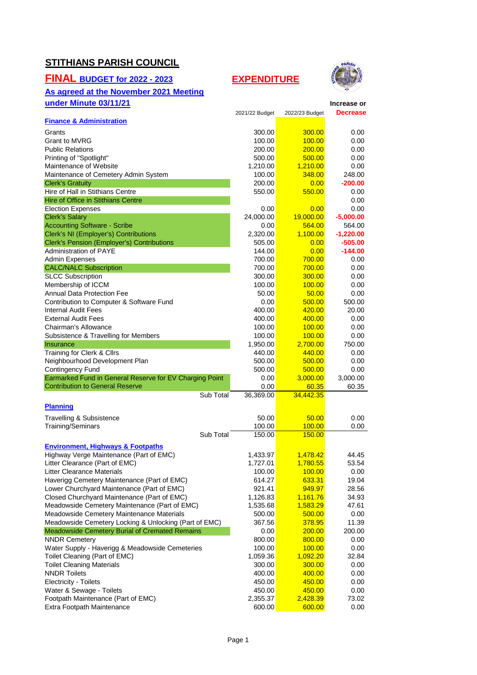### **STITHIANS PARISH COUNCIL**

#### **FINAL BUDGET for 2022 - 2023 EXPENDITURE**

# **As agreed at the November 2021 Meeting**



| under Minute 03/11/21                                                            |                    |                    | Increase or         |
|----------------------------------------------------------------------------------|--------------------|--------------------|---------------------|
|                                                                                  | 2021/22 Budget     | 2022/23 Budget     | <b>Decrease</b>     |
| <b>Finance &amp; Administration</b>                                              |                    |                    |                     |
| Grants                                                                           | 300.00             | 300.00             | 0.00                |
| <b>Grant to MVRG</b>                                                             | 100.00             | 100.00             | 0.00                |
| <b>Public Relations</b>                                                          | 200.00             | 200.00             | 0.00                |
| Printing of "Spotlight"                                                          | 500.00             | 500.00             | 0.00                |
| Maintenance of Website                                                           | 1,210.00           | 1,210.00           | 0.00                |
| Maintenance of Cemetery Admin System                                             | 100.00             | 348.00             | 248.00              |
| <b>Clerk's Gratuity</b>                                                          | 200.00             | 0.00               | $-200.00$           |
| Hire of Hall in Stithians Centre                                                 | 550.00             | 550.00             | 0.00                |
| Hire of Office in Stithians Centre                                               |                    |                    | 0.00                |
| <b>Election Expenses</b><br><b>Clerk's Salary</b>                                | 0.00<br>24,000.00  | 0.00<br>19,000.00  | 0.00<br>$-5,000.00$ |
| <b>Accounting Software - Scribe</b>                                              | 0.00               | 564.00             | 564.00              |
| <b>Clerk's NI (Employer's) Contributions</b>                                     | 2,320.00           | 1,100.00           | $-1,220.00$         |
| <b>Clerk's Pension (Employer's) Contributions</b>                                | 505.00             | 0.00               | $-505.00$           |
| Administration of PAYE                                                           | 144.00             | 0.00               | $-144.00$           |
| <b>Admin Expenses</b>                                                            | 700.00             | 700.00             | 0.00                |
| <b>CALC/NALC Subscription</b>                                                    | 700.00             | 700.00             | 0.00                |
| <b>SLCC Subscription</b>                                                         | 300.00             | 300.00             | 0.00                |
| Membership of ICCM                                                               | 100.00             | 100.00             | 0.00                |
| Annual Data Protection Fee                                                       | 50.00              | 50.00              | 0.00                |
| Contribution to Computer & Software Fund                                         | 0.00               | 500.00             | 500.00              |
| <b>Internal Audit Fees</b>                                                       | 400.00             | 420.00             | 20.00               |
| <b>External Audit Fees</b>                                                       | 400.00             | 400.00             | 0.00                |
| Chairman's Allowance                                                             | 100.00             | 100.00             | 0.00                |
| Subsistence & Travelling for Members                                             | 100.00             | 100.00             | 0.00                |
| Insurance                                                                        | 1,950.00           | 2,700.00           | 750.00              |
| Training for Clerk & Cllrs                                                       | 440.00             | 440.00             | 0.00                |
| Neighbourhood Development Plan                                                   | 500.00             | 500.00             | 0.00                |
| <b>Contingency Fund</b>                                                          | 500.00             | 500.00             | 0.00                |
| Earmarked Fund in General Reserve for EV Charging Point                          | 0.00               | 3,000.00           | 3,000.00            |
| <b>Contribution to General Reserve</b>                                           | 0.00               | 60.35              | 60.35               |
| Sub Total                                                                        | 36,369.00          | 34,442.35          |                     |
| <b>Planning</b>                                                                  |                    |                    |                     |
| Travelling & Subsistence                                                         | 50.00              | 50.00              | 0.00                |
| Training/Seminars                                                                | 100.00             | 100.00             | 0.00                |
| Sub Total                                                                        | 150.00             | 150.00             |                     |
| <b>Environment, Highways &amp; Footpaths</b>                                     |                    |                    |                     |
| Highway Verge Maintenance (Part of EMC)                                          | 1,433.97           | 1,478.42           | 44.45               |
| Litter Clearance (Part of EMC)                                                   | 1,727.01           | 1,780.55           | 53.54               |
| <b>Litter Clearance Materials</b>                                                | 100.00             | 100.00             | 0.00                |
| Haverigg Cemetery Maintenance (Part of EMC)                                      | 614.27             | 633.31             | 19.04               |
| Lower Churchyard Maintenance (Part of EMC)                                       | 921.41             | 949.97             | 28.56               |
| Closed Churchyard Maintenance (Part of EMC)                                      | 1,126.83           | 1,161.76           | 34.93               |
| Meadowside Cemetery Maintenance (Part of EMC)                                    | 1,535.68           | 1,583.29           | 47.61               |
| Meadowside Cemetery Maintenance Materials                                        | 500.00             | 500.00             | 0.00                |
| Meadowside Cemetery Locking & Unlocking (Part of EMC)                            | 367.56             | 378.95             | 11.39               |
| Meadowside Cemetery Burial of Cremated Remains                                   | 0.00               | 200.00             | 200.00              |
| <b>NNDR Cemetery</b>                                                             | 800.00             | 800.00             | 0.00                |
| Water Supply - Haverigg & Meadowside Cemeteries<br>Toilet Cleaning (Part of EMC) | 100.00<br>1,059.36 | 100.00<br>1,092.20 | 0.00<br>32.84       |
| <b>Toilet Cleaning Materials</b>                                                 | 300.00             | 300.00             | 0.00                |
| <b>NNDR Toilets</b>                                                              | 400.00             | 400.00             | 0.00                |
| <b>Electricity - Toilets</b>                                                     | 450.00             | 450.00             | 0.00                |
| Water & Sewage - Toilets                                                         | 450.00             | 450.00             | 0.00                |
| Footpath Maintenance (Part of EMC)                                               | 2,355.37           | 2,428.39           | 73.02               |
| Extra Footpath Maintenance                                                       | 600.00             | 600.00             | 0.00                |